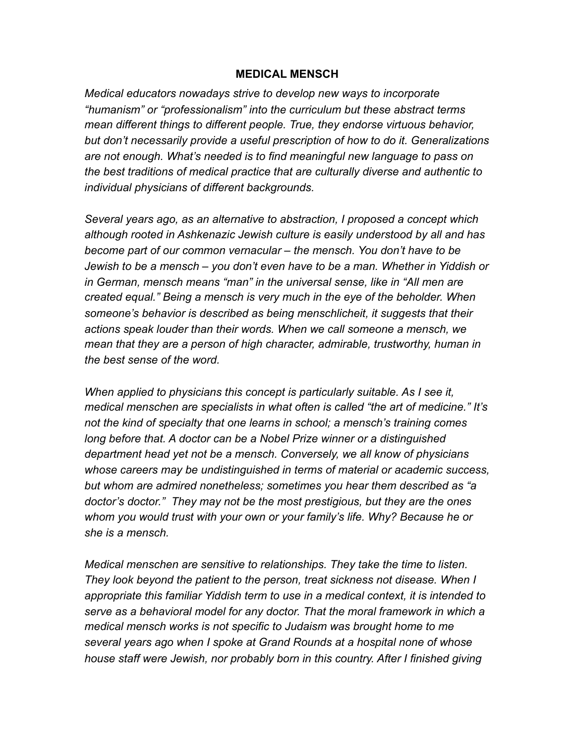## **MEDICAL MENSCH**

*Medical educators nowadays strive to develop new ways to incorporate "humanism" or "professionalism" into the curriculum but these abstract terms mean different things to different people. True, they endorse virtuous behavior, but don't necessarily provide a useful prescription of how to do it. Generalizations are not enough. What's needed is to find meaningful new language to pass on the best traditions of medical practice that are culturally diverse and authentic to individual physicians of different backgrounds.* 

*Several years ago, as an alternative to abstraction, I proposed a concept which although rooted in Ashkenazic Jewish culture is easily understood by all and has become part of our common vernacular – the mensch. You don't have to be Jewish to be a mensch – you don't even have to be a man. Whether in Yiddish or in German, mensch means "man" in the universal sense, like in "All men are created equal." Being a mensch is very much in the eye of the beholder. When someone's behavior is described as being menschlicheit, it suggests that their actions speak louder than their words. When we call someone a mensch, we mean that they are a person of high character, admirable, trustworthy, human in the best sense of the word.* 

*When applied to physicians this concept is particularly suitable. As I see it, medical menschen are specialists in what often is called "the art of medicine." It's not the kind of specialty that one learns in school; a mensch's training comes long before that. A doctor can be a Nobel Prize winner or a distinguished department head yet not be a mensch. Conversely, we all know of physicians whose careers may be undistinguished in terms of material or academic success, but whom are admired nonetheless; sometimes you hear them described as "a doctor's doctor." They may not be the most prestigious, but they are the ones whom you would trust with your own or your family's life. Why? Because he or she is a mensch.* 

*Medical menschen are sensitive to relationships. They take the time to listen. They look beyond the patient to the person, treat sickness not disease. When I appropriate this familiar Yiddish term to use in a medical context, it is intended to serve as a behavioral model for any doctor. That the moral framework in which a medical mensch works is not specific to Judaism was brought home to me several years ago when I spoke at Grand Rounds at a hospital none of whose house staff were Jewish, nor probably born in this country. After I finished giving*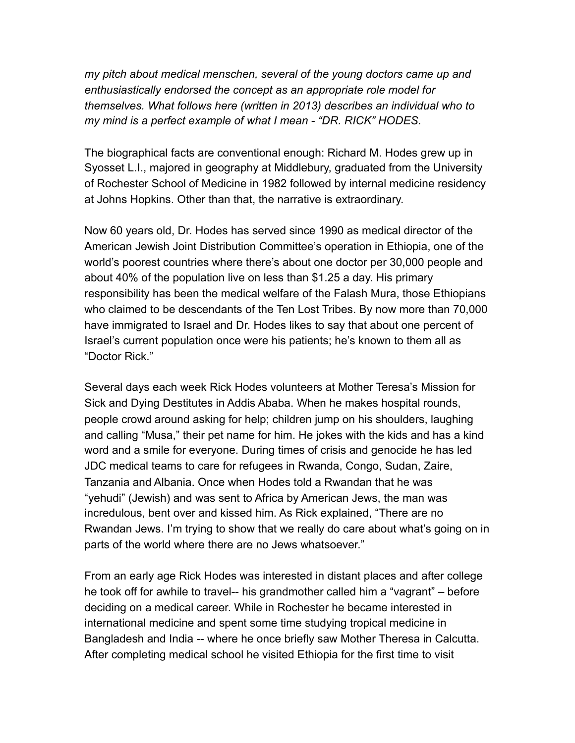*my pitch about medical menschen, several of the young doctors came up and enthusiastically endorsed the concept as an appropriate role model for themselves. What follows here (written in 2013) describes an individual who to my mind is a perfect example of what I mean - "DR. RICK" HODES.*

The biographical facts are conventional enough: Richard M. Hodes grew up in Syosset L.I., majored in geography at Middlebury, graduated from the University of Rochester School of Medicine in 1982 followed by internal medicine residency at Johns Hopkins. Other than that, the narrative is extraordinary.

Now 60 years old, Dr. Hodes has served since 1990 as medical director of the American Jewish Joint Distribution Committee's operation in Ethiopia, one of the world's poorest countries where there's about one doctor per 30,000 people and about 40% of the population live on less than \$1.25 a day. His primary responsibility has been the medical welfare of the Falash Mura, those Ethiopians who claimed to be descendants of the Ten Lost Tribes. By now more than 70,000 have immigrated to Israel and Dr. Hodes likes to say that about one percent of Israel's current population once were his patients; he's known to them all as "Doctor Rick."

Several days each week Rick Hodes volunteers at Mother Teresa's Mission for Sick and Dying Destitutes in Addis Ababa. When he makes hospital rounds, people crowd around asking for help; children jump on his shoulders, laughing and calling "Musa," their pet name for him. He jokes with the kids and has a kind word and a smile for everyone. During times of crisis and genocide he has led JDC medical teams to care for refugees in Rwanda, Congo, Sudan, Zaire, Tanzania and Albania. Once when Hodes told a Rwandan that he was "yehudi" (Jewish) and was sent to Africa by American Jews, the man was incredulous, bent over and kissed him. As Rick explained, "There are no Rwandan Jews. I'm trying to show that we really do care about what's going on in parts of the world where there are no Jews whatsoever."

From an early age Rick Hodes was interested in distant places and after college he took off for awhile to travel-- his grandmother called him a "vagrant" – before deciding on a medical career. While in Rochester he became interested in international medicine and spent some time studying tropical medicine in Bangladesh and India -- where he once briefly saw Mother Theresa in Calcutta. After completing medical school he visited Ethiopia for the first time to visit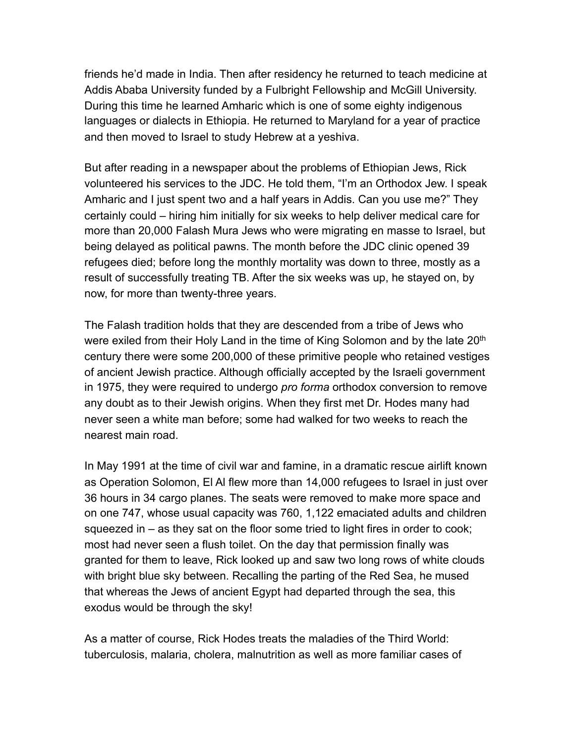friends he'd made in India. Then after residency he returned to teach medicine at Addis Ababa University funded by a Fulbright Fellowship and McGill University. During this time he learned Amharic which is one of some eighty indigenous languages or dialects in Ethiopia. He returned to Maryland for a year of practice and then moved to Israel to study Hebrew at a yeshiva.

But after reading in a newspaper about the problems of Ethiopian Jews, Rick volunteered his services to the JDC. He told them, "I'm an Orthodox Jew. I speak Amharic and I just spent two and a half years in Addis. Can you use me?" They certainly could – hiring him initially for six weeks to help deliver medical care for more than 20,000 Falash Mura Jews who were migrating en masse to Israel, but being delayed as political pawns. The month before the JDC clinic opened 39 refugees died; before long the monthly mortality was down to three, mostly as a result of successfully treating TB. After the six weeks was up, he stayed on, by now, for more than twenty-three years.

The Falash tradition holds that they are descended from a tribe of Jews who were exiled from their Holy Land in the time of King Solomon and by the late 20<sup>th</sup> century there were some 200,000 of these primitive people who retained vestiges of ancient Jewish practice. Although officially accepted by the Israeli government in 1975, they were required to undergo *pro forma* orthodox conversion to remove any doubt as to their Jewish origins. When they first met Dr. Hodes many had never seen a white man before; some had walked for two weeks to reach the nearest main road.

In May 1991 at the time of civil war and famine, in a dramatic rescue airlift known as Operation Solomon, El Al flew more than 14,000 refugees to Israel in just over 36 hours in 34 cargo planes. The seats were removed to make more space and on one 747, whose usual capacity was 760, 1,122 emaciated adults and children squeezed in – as they sat on the floor some tried to light fires in order to cook; most had never seen a flush toilet. On the day that permission finally was granted for them to leave, Rick looked up and saw two long rows of white clouds with bright blue sky between. Recalling the parting of the Red Sea, he mused that whereas the Jews of ancient Egypt had departed through the sea, this exodus would be through the sky!

As a matter of course, Rick Hodes treats the maladies of the Third World: tuberculosis, malaria, cholera, malnutrition as well as more familiar cases of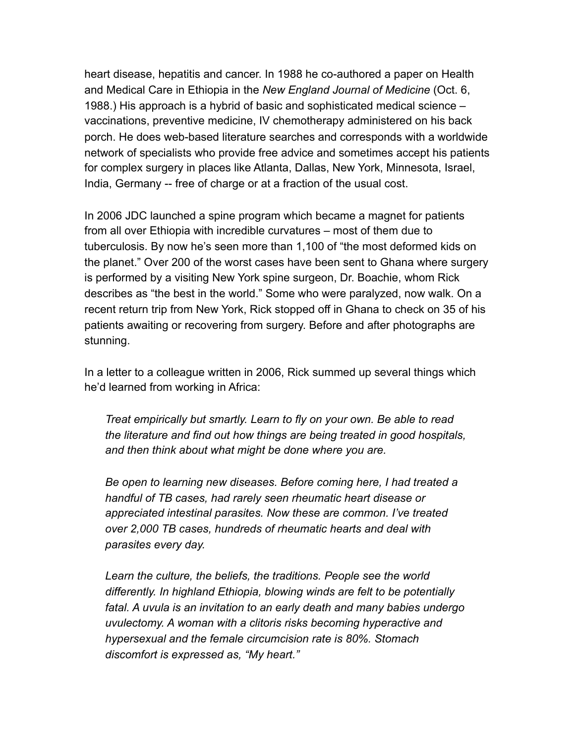heart disease, hepatitis and cancer. In 1988 he co-authored a paper on Health and Medical Care in Ethiopia in the *New England Journal of Medicine* (Oct. 6, 1988.) His approach is a hybrid of basic and sophisticated medical science – vaccinations, preventive medicine, IV chemotherapy administered on his back porch. He does web-based literature searches and corresponds with a worldwide network of specialists who provide free advice and sometimes accept his patients for complex surgery in places like Atlanta, Dallas, New York, Minnesota, Israel, India, Germany -- free of charge or at a fraction of the usual cost.

In 2006 JDC launched a spine program which became a magnet for patients from all over Ethiopia with incredible curvatures – most of them due to tuberculosis. By now he's seen more than 1,100 of "the most deformed kids on the planet." Over 200 of the worst cases have been sent to Ghana where surgery is performed by a visiting New York spine surgeon, Dr. Boachie, whom Rick describes as "the best in the world." Some who were paralyzed, now walk. On a recent return trip from New York, Rick stopped off in Ghana to check on 35 of his patients awaiting or recovering from surgery. Before and after photographs are stunning.

In a letter to a colleague written in 2006, Rick summed up several things which he'd learned from working in Africa:

*Treat empirically but smartly. Learn to fly on your own. Be able to read the literature and find out how things are being treated in good hospitals, and then think about what might be done where you are.* 

*Be open to learning new diseases. Before coming here, I had treated a handful of TB cases, had rarely seen rheumatic heart disease or appreciated intestinal parasites. Now these are common. I've treated over 2,000 TB cases, hundreds of rheumatic hearts and deal with parasites every day.* 

*Learn the culture, the beliefs, the traditions. People see the world differently. In highland Ethiopia, blowing winds are felt to be potentially fatal. A uvula is an invitation to an early death and many babies undergo uvulectomy. A woman with a clitoris risks becoming hyperactive and hypersexual and the female circumcision rate is 80%. Stomach discomfort is expressed as, "My heart."*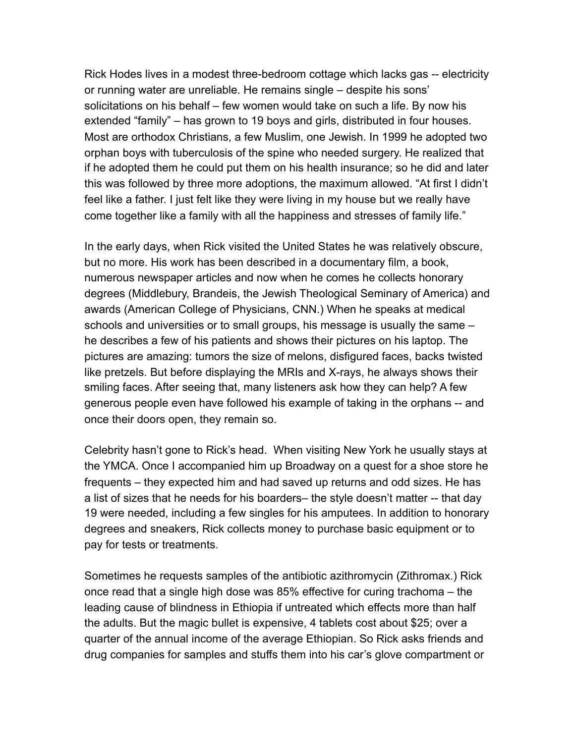Rick Hodes lives in a modest three-bedroom cottage which lacks gas -- electricity or running water are unreliable. He remains single – despite his sons' solicitations on his behalf – few women would take on such a life. By now his extended "family" – has grown to 19 boys and girls, distributed in four houses. Most are orthodox Christians, a few Muslim, one Jewish. In 1999 he adopted two orphan boys with tuberculosis of the spine who needed surgery. He realized that if he adopted them he could put them on his health insurance; so he did and later this was followed by three more adoptions, the maximum allowed. "At first I didn't feel like a father. I just felt like they were living in my house but we really have come together like a family with all the happiness and stresses of family life."

In the early days, when Rick visited the United States he was relatively obscure, but no more. His work has been described in a documentary film, a book, numerous newspaper articles and now when he comes he collects honorary degrees (Middlebury, Brandeis, the Jewish Theological Seminary of America) and awards (American College of Physicians, CNN.) When he speaks at medical schools and universities or to small groups, his message is usually the same – he describes a few of his patients and shows their pictures on his laptop. The pictures are amazing: tumors the size of melons, disfigured faces, backs twisted like pretzels. But before displaying the MRIs and X-rays, he always shows their smiling faces. After seeing that, many listeners ask how they can help? A few generous people even have followed his example of taking in the orphans -- and once their doors open, they remain so.

Celebrity hasn't gone to Rick's head. When visiting New York he usually stays at the YMCA. Once I accompanied him up Broadway on a quest for a shoe store he frequents – they expected him and had saved up returns and odd sizes. He has a list of sizes that he needs for his boarders– the style doesn't matter -- that day 19 were needed, including a few singles for his amputees. In addition to honorary degrees and sneakers, Rick collects money to purchase basic equipment or to pay for tests or treatments.

Sometimes he requests samples of the antibiotic azithromycin (Zithromax.) Rick once read that a single high dose was 85% effective for curing trachoma – the leading cause of blindness in Ethiopia if untreated which effects more than half the adults. But the magic bullet is expensive, 4 tablets cost about \$25; over a quarter of the annual income of the average Ethiopian. So Rick asks friends and drug companies for samples and stuffs them into his car's glove compartment or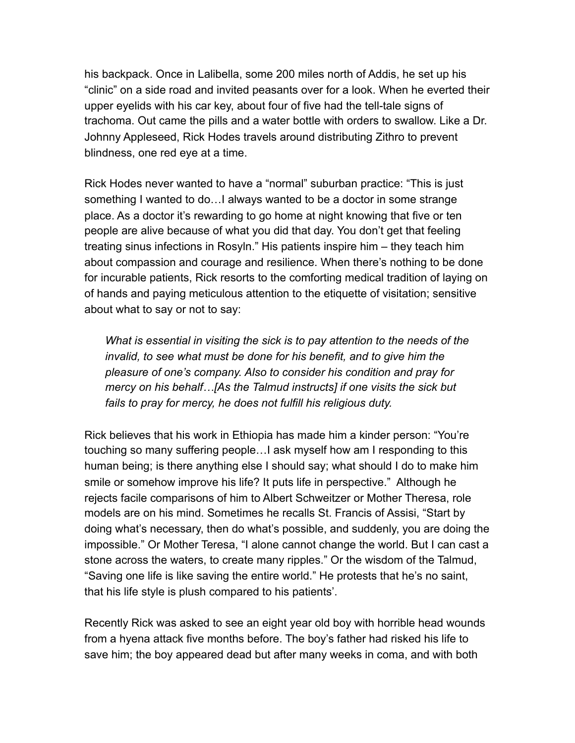his backpack. Once in Lalibella, some 200 miles north of Addis, he set up his "clinic" on a side road and invited peasants over for a look. When he everted their upper eyelids with his car key, about four of five had the tell-tale signs of trachoma. Out came the pills and a water bottle with orders to swallow. Like a Dr. Johnny Appleseed, Rick Hodes travels around distributing Zithro to prevent blindness, one red eye at a time.

Rick Hodes never wanted to have a "normal" suburban practice: "This is just something I wanted to do…I always wanted to be a doctor in some strange place. As a doctor it's rewarding to go home at night knowing that five or ten people are alive because of what you did that day. You don't get that feeling treating sinus infections in Rosyln." His patients inspire him – they teach him about compassion and courage and resilience. When there's nothing to be done for incurable patients, Rick resorts to the comforting medical tradition of laying on of hands and paying meticulous attention to the etiquette of visitation; sensitive about what to say or not to say:

*What is essential in visiting the sick is to pay attention to the needs of the invalid, to see what must be done for his benefit, and to give him the pleasure of one's company. Also to consider his condition and pray for mercy on his behalf…[As the Talmud instructs] if one visits the sick but fails to pray for mercy, he does not fulfill his religious duty.* 

Rick believes that his work in Ethiopia has made him a kinder person: "You're touching so many suffering people…I ask myself how am I responding to this human being; is there anything else I should say; what should I do to make him smile or somehow improve his life? It puts life in perspective." Although he rejects facile comparisons of him to Albert Schweitzer or Mother Theresa, role models are on his mind. Sometimes he recalls St. Francis of Assisi, "Start by doing what's necessary, then do what's possible, and suddenly, you are doing the impossible." Or Mother Teresa, "I alone cannot change the world. But I can cast a stone across the waters, to create many ripples." Or the wisdom of the Talmud, "Saving one life is like saving the entire world." He protests that he's no saint, that his life style is plush compared to his patients'.

Recently Rick was asked to see an eight year old boy with horrible head wounds from a hyena attack five months before. The boy's father had risked his life to save him; the boy appeared dead but after many weeks in coma, and with both